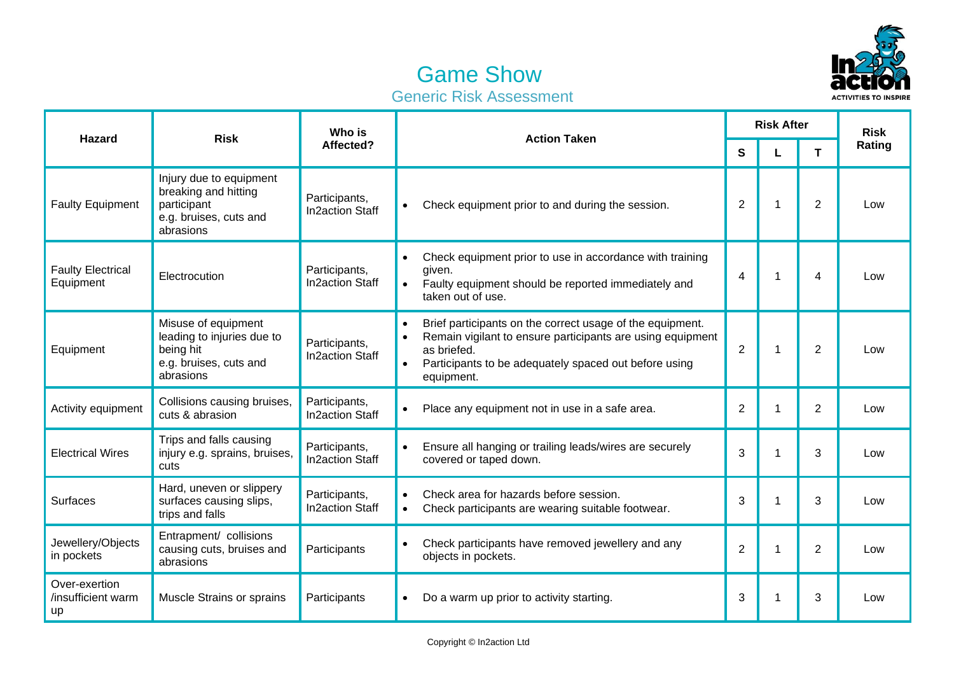

## Game Show Generic Risk Assessment

| <b>Hazard</b>                             | <b>Risk</b>                                                                                           | Who is<br>Affected?                     | <b>Action Taken</b>                                                                                                                                                                                                        | <b>Risk After</b> |    |                  | <b>Risk</b> |
|-------------------------------------------|-------------------------------------------------------------------------------------------------------|-----------------------------------------|----------------------------------------------------------------------------------------------------------------------------------------------------------------------------------------------------------------------------|-------------------|----|------------------|-------------|
|                                           |                                                                                                       |                                         |                                                                                                                                                                                                                            |                   |    | т                | Rating      |
| <b>Faulty Equipment</b>                   | Injury due to equipment<br>breaking and hitting<br>participant<br>e.g. bruises, cuts and<br>abrasions | Participants,<br><b>In2action Staff</b> | Check equipment prior to and during the session.                                                                                                                                                                           | 2                 | -1 | 2                | Low         |
| <b>Faulty Electrical</b><br>Equipment     | Electrocution                                                                                         | Participants,<br><b>In2action Staff</b> | Check equipment prior to use in accordance with training<br>$\bullet$<br>given.<br>Faulty equipment should be reported immediately and<br>taken out of use.                                                                | 4                 | 1  | $\boldsymbol{4}$ | Low         |
| Equipment                                 | Misuse of equipment<br>leading to injuries due to<br>being hit<br>e.g. bruises, cuts and<br>abrasions | Participants,<br><b>In2action Staff</b> | Brief participants on the correct usage of the equipment.<br>Remain vigilant to ensure participants are using equipment<br>as briefed.<br>Participants to be adequately spaced out before using<br>$\bullet$<br>equipment. | $\overline{2}$    | -1 | $\mathbf{2}$     | Low         |
| Activity equipment                        | Collisions causing bruises,<br>cuts & abrasion                                                        | Participants,<br><b>In2action Staff</b> | Place any equipment not in use in a safe area.                                                                                                                                                                             | $\overline{2}$    |    | $\overline{2}$   | Low         |
| <b>Electrical Wires</b>                   | Trips and falls causing<br>injury e.g. sprains, bruises,<br>cuts                                      | Participants,<br><b>In2action Staff</b> | Ensure all hanging or trailing leads/wires are securely<br>covered or taped down.                                                                                                                                          | 3                 | -1 | 3                | Low         |
| <b>Surfaces</b>                           | Hard, uneven or slippery<br>surfaces causing slips,<br>trips and falls                                | Participants,<br><b>In2action Staff</b> | Check area for hazards before session.<br>Check participants are wearing suitable footwear.<br>$\bullet$                                                                                                                   | 3                 | -1 | 3                | Low         |
| Jewellery/Objects<br>in pockets           | Entrapment/ collisions<br>causing cuts, bruises and<br>abrasions                                      | Participants                            | Check participants have removed jewellery and any<br>objects in pockets.                                                                                                                                                   | $\overline{2}$    | -1 | $\overline{2}$   | Low         |
| Over-exertion<br>/insufficient warm<br>up | Muscle Strains or sprains                                                                             | Participants                            | Do a warm up prior to activity starting.                                                                                                                                                                                   | 3                 |    | 3                | Low         |